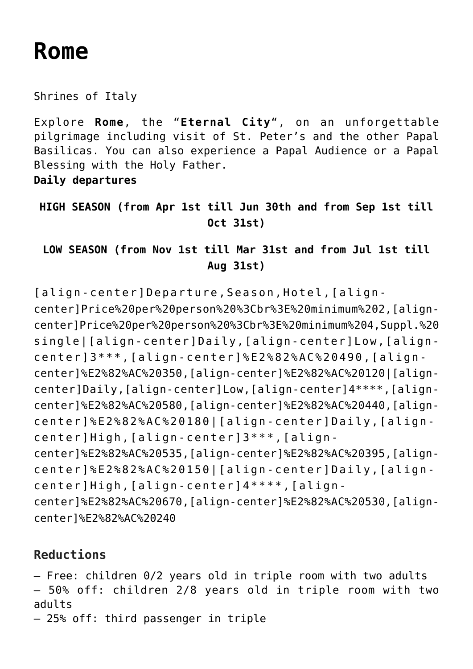# **[Rome](https://rusconiviaggi.com/tour-item/private-pilgrimage-in-rome-daily-departures/)**

Shrines of Italy

Explore **Rome**, the "**Eternal City**", on an unforgettable pilgrimage including visit of St. Peter's and the other Papal Basilicas. You can also experience a Papal Audience or a Papal Blessing with the Holy Father.

**Daily departures**

**HIGH SEASON (from Apr 1st till Jun 30th and from Sep 1st till Oct 31st)**

### **LOW SEASON (from Nov 1st till Mar 31st and from Jul 1st till Aug 31st)**

[align-center]Departure,Season,Hotel,[aligncenter]Price%20per%20person%20%3Cbr%3E%20minimum%202,[aligncenter]Price%20per%20person%20%3Cbr%3E%20minimum%204,Suppl.%20 single|[align-center]Daily,[align-center]Low,[aligncenter]3\*\*\*,[align-center]%E2%82%AC%20490,[aligncenter]%E2%82%AC%20350,[align-center]%E2%82%AC%20120|[aligncenter]Daily,[align-center]Low,[align-center]4\*\*\*\*,[aligncenter]%E2%82%AC%20580,[align-center]%E2%82%AC%20440,[aligncenter]%E2%82%AC%20180|[align-center]Daily,[aligncenter]High,[align-center]3\*\*\*,[aligncenter]%E2%82%AC%20535,[align-center]%E2%82%AC%20395,[aligncenter]%E2%82%AC%20150|[align-center]Daily,[aligncenter]High,[align-center]4\*\*\*\*,[aligncenter]%E2%82%AC%20670,[align-center]%E2%82%AC%20530,[aligncenter]%E2%82%AC%20240

## **Reductions**

– Free: children 0/2 years old in triple room with two adults – 50% off: children 2/8 years old in triple room with two adults

– 25% off: third passenger in triple